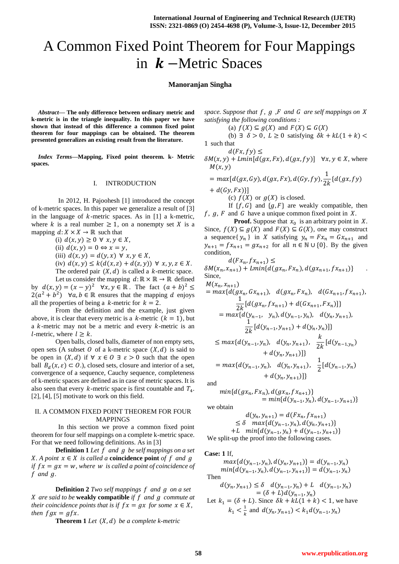# A Common Fixed Point Theorem for Four Mappings in  $k$  –Metric Spaces

## **Manoranjan Singha**

*Abstract***— The only difference between ordinary metric and k-metric is in the triangle inequality. In this paper we have shown that instead of this difference a common fixed point theorem for four mappings can be obtained. The theorem presented generalizes an existing result from the literature.**

*Index Terms***—Mapping, Fixed point theorem. k- Metric spaces.**

#### I. INTRODUCTION

In 2012, H. Pajoohesh [1] introduced the concept of k-metric spaces. In this paper we generalize a result of [3] in the language of  $k$ -metric spaces. As in [1] a k-metric, where k is a real number  $\geq 1$ , on a nonempty set X is a mapping  $d: X \times X \to \mathbb{R}$  such that

(i)  $d(x, y) \geq 0 \forall x, y \in X$ ,

(ii)  $d(x, y) = 0 \Leftrightarrow x = y$ ,

(iii)  $d(x, y) = d(y, x) \forall x, y \in X$ ,

(iv)  $d(x, y) \le k(d(x, z) + d(z, y)) \forall x, y, z \in X$ .

The ordered pair  $(X, d)$  is called a *k*-metric space. Let us consider the mapping  $d: \mathbb{R} \times \mathbb{R} \to \mathbb{R}$  defined by  $d(x, y) = (x - y)^2$   $\forall x, y \in \mathbb{R}$ . The fact  $(a + b)^2$  $2(a^2 + b^2)$   $\forall a, b \in \mathbb{R}$  ensures that the mapping d enjoys all the properties of being a k-metric for  $k = 2$ .

From the definition and the example, just given above, it is clear that every metric is a  $k$ -metric  $(k = 1)$ , but a  $k$ -metric may not be a metric and every  $k$ -metric is an *l*-metric, where  $l \geq k$ .

Open balls, closed balls, diameter of non empty sets, open sets (A subset O of a k-metric space  $(X, d)$  is said to be open in  $(X, d)$  if  $\forall x \in O \exists \varepsilon > 0$  such that the open ball  $B_d(x, \varepsilon) \subset O$ .), closed sets, closure and interior of a set, convergence of a sequence, Cauchy sequence, completeness of k-metric spaces are defined as in case of metric spaces. It is also seen that every  $k$ -metric space is first countable and  $T_4$ . [2], [4], [5] motivate to work on this field.

## II. A COMMON FIXED POINT THEOREM FOR FOUR MAPPINGS

In this section we prove a common fixed point theorem for four self mappings on a complete k-metric space. For that we need following definitions. As in [3]

**Definition 1** Let  $f$  and  $g$  be self mappings on a set *X*. A point  $x \in X$  is called a **coincidence point** of f and **q** *if*  $fx = ax = w$ , where w *is called a point of coincidence of f* and  $q$ .

**Definition 2** *Two self mappings f and g on a set X* are said to be **weakly compatible** *if*  $f$  and  $g$  commute at *their coincidence points that is if*  $fx = gx$  *for some*  $x \in X$ *, then*  $fgx = gfx$ .

**Theorem 1** *Let*  $(X, d)$  *be a complete k-metric* 

*space. Suppose that f, g, F and G are self mappings on X satisfying the following conditions :*

(a)  $f(X) \subseteq g(X)$  and  $F(X) \subseteq G(X)$ 

(b)  $\exists \delta > 0$ ,  $L \ge 0$  satisfying  $\delta k + kL(1 + k)$ 1 such that

 $d(Fx, fy) \leq$  $\delta M(x, y) + Lmin[d(gx, Fx), d(gx, fy)] \quad \forall x, y \in X$ , where  $M(x, y)$ 

$$
= max[d(gx, Gy), d(gx, Fx), d(Gy, fy), \frac{1}{2k} \{d(gx, fy) + d(Gy, Fx)\}]
$$

(c)  $f(X)$  or  $g(X)$  is closed.

If  $\{f, G\}$  and  $\{g, F\}$  are weakly compatible, then  $f, g, F$  and G have a unique common fixed point in X.

**Proof.** Suppose that  $x_0$  is an arbitrary point in X. Since,  $f(X) \subseteq g(X)$  and  $F(X) \subseteq G(X)$ , one may construct a sequence{  $y_n$  } in X satisfying  $y_n = Fx_n = Gx_{n+1}$  and  $y_{n+1} = fx_{n+1} = gx_{n+2}$  for all  $n \in \mathbb{N} \cup \{0\}$ . By the given condition,

$$
d(Fx_n, fx_{n+1}) \le
$$
  
\n
$$
\delta M(x_n, x_{n+1}) + Lmin\{d(gx_n, Fx_n), d(gx_{n+1}, fx_{n+1})\}
$$
  
\nSince,

$$
M(x_n, x_{n+1})
$$
  
=  $max\{d(gx_n, Gx_{n+1}), d(gx_n, Fx_n), d(Gx_{n+1}, fx_{n+1}),$   

$$
\frac{1}{2k}[d(gx_n, fx_{n+1}) + d(Gx_{n+1}, Fx_n)]\}
$$
  
=  $max\{d(y_{n-1}, y_n), d(y_{n-1}, y_n), d(y_n, y_{n+1}),$   

$$
\frac{1}{2k}[d(y_{n-1}, y_{n+1}) + d(y_n, y_n)]\}
$$
  

$$
\leq max\{d(y_{n-1}, y_n), d(y_n, y_{n+1}), \frac{k}{2k}[d(y_{n-1}, y_n) + d(y_n, y_{n+1})]\}
$$
  
=  $max\{d(y_{n-1}, y_n), d(y_n, y_{n+1}), \frac{1}{2}[d(y_{n-1}, y_n) + d(y_n, y_{n+1})]\}$ 

and

$$
min{d(gx_n, Fx_n), d(gx_n, fx_{n+1})}
$$
  
= min{d(y\_{n-1}, y\_n), d(y\_{n-1}, y\_{n+1})}

we obtain

$$
d(y_n, y_{n+1}) = d(Fx_n, fx_{n+1})
$$
  
\n
$$
\leq \delta \max\{d(y_{n-1}, y_n), d(y_n, y_{n+1})\}
$$
  
\n+L  $\min\{d(y_{n-1}, y_n) + d(y_{n-1}, y_{n+1})\}$   
\nWe split-up the proof into the following cases.

#### **Case: 1** If,

 $max{d(y_{n-1}, y_n), d(y_n, y_{n+1})} = d(y_{n-1}, y_n)$  $min{d(y_{n-1}, y_n), d(y_{n-1}, y_{n+1})} = d(y_{n-1}, y_n)$ Then  $d(y_n, y_{n+1}) \leq \delta \quad d(y_{n-1}, y_n) + L \quad d(y_{n-1}, y_n)$  $= (\delta + L)d(y_{n-1})$ 

Let 
$$
k_1 = (\delta + L)
$$
. Since  $\delta k + kL(1 + k) < 1$ , we have  
 $k_1 < \frac{1}{k}$  and  $d(y_n, y_{n+1}) < k_1 d(y_{n-1}, y_n)$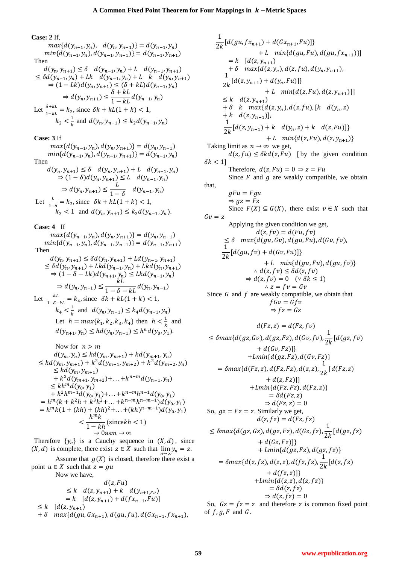**Case: 2** If,

 $max{d(y_{n-1}, y_n), d(y_n, y_{n+1})} = d(y_{n-1}, y_n)$  $min{d(y_{n-1}, y_n), d(y_{n-1}, y_{n+1})} = d(y_{n-1}, y_n)$ Then

$$
d(y_n, y_{n+1}) \leq \delta \quad d(y_{n-1}, y_n) + L \quad d(y_{n-1}, y_{n+1})
$$
  
\n
$$
\leq \delta d(y_{n-1}, y_n) + Lk \quad d(y_{n-1}, y_n) + L \quad k \quad d(y_n, y_{n+1})
$$
  
\n
$$
\Rightarrow (1 - Lk)d(y_n, y_{n+1}) \leq (\delta + kL)d(y_{n-1}, y_n)
$$
  
\n
$$
\Rightarrow d(y_n, y_{n+1}) \leq \frac{\delta + kL}{1 - kL}d(y_{n-1}, y_n)
$$
  
\nLet  $\frac{\delta + kL}{1 - kL} = k_2$ , since  $\delta k + kL(1 + k) < 1$ ,  
\n $k_2 < \frac{1}{k}$  and  $d(y_n, y_{n+1}) \leq k_2d(y_{n-1}, y_n)$ 

**Case: 3** If

 $max{d(y_{n-1},$  $min{d(y_{n-1}, y_n), d(y_{n-1}, y_{n+1})} = d(y_{n-1}, y_n)$ Then

$$
d(y_n, y_{n+1}) \leq \delta \quad d(y_n, y_{n+1}) + L \quad d(y_{n-1}, y_n)
$$
  
\n
$$
\Rightarrow (1 - \delta) d(y_n, y_{n+1}) \leq L \quad d(y_{n-1}, y_n)
$$
  
\n
$$
\Rightarrow d(y_n, y_{n+1}) \leq \frac{L}{1 - \delta} \quad d(y_{n-1}, y_n)
$$
  
\nLet  $\frac{L}{1 - \delta} = k_3$ , since  $\delta k + kL(1 + k) < 1$ ,  
\n $k_3 < 1$  and  $d(y_n, y_{n+1}) \leq k_3 d(y_{n-1}, y_n)$ .

**Case: 4** If

 $max{d(y_{n-1},$  $min{d(y_{n-1}, y_n), d(y_{n-1}, y_{n+1})} = d(y_{n-1}, y_n)$ Then  $d(y_n, y_{n+1}) \leq \delta d(y_n, y_{n+1}) + Ld(y_{n-1},$  $\leq \delta d(y_n, y_{n+1}) + Lkd(y_{n-1},$  $\Rightarrow (1 - \delta - Lk)d(y_{n+1}, y_n) \leq Lkd(y_{n-1}, y_n)$  $\Rightarrow d(y_n, y_{n+1}) \leq \frac{k}{1 - s}$  $\mathbf{1}$ Let  $\frac{kL}{1-\delta-kL} = k_4$ , since  $\delta k + kL(1+k) < 1$ ,  $k_4 < \frac{1}{1}$  $\frac{1}{k}$  and  $d(y_n, y_{n+1}) \leq k_4 d(y_{n-1},$ Let  $h = max\{k_1, k_2, k_3, k_4\}$  then  $h < \frac{1}{b}$  $\frac{1}{k}$  and  $d(y_{n+1}, y_n) \leq hd(y_n, y_{n-1}) \leq h^n d(y_0, y_1).$ 

Now for 
$$
n > m
$$
  
\n
$$
d(y_m, y_n) \le kd(y_m, y_{m+1}) + kd(y_{m+1}, y_n)
$$
\n
$$
\le kd(y_m, y_{m+1}) + k^2 d(y_{m+1}, y_{m+2}) + k^2 d(y_{m+2}, y_n)
$$
\n
$$
\le kd(y_m, y_{m+1})
$$
\n
$$
+ k^2 d(y_{m+1}, y_{m+2}) + \ldots + k^{n-m} d(y_{n-1}, y_n)
$$
\n
$$
\le kh^m d(y_0, y_1)
$$
\n
$$
+ k^2 h^{m+1} d(y_0, y_1) + \ldots + k^{n-m} h^{n-1} d(y_0, y_1)
$$
\n
$$
= h^m (k + k^2 h + k^3 h^2 + \ldots + k^{n-m} h^{n-m-1}) d(y_0, y_1)
$$
\n
$$
= h^m k (1 + (kh) + (kh)^2 + \ldots + (kh)^{n-m-1}) d(y_0, y_1)
$$
\n
$$
< \frac{h^m k}{1 - kh} (\text{since } kh < 1)
$$
\n
$$
\to 0 \text{as } m \to \infty
$$

Therefore  $\{y_n\}$  is a Cauchy sequence in  $(X, d)$ , since  $(X, d)$  is complete, there exist  $z \in X$  such that  $\lim y_n = z$ .

Assume that  $g(X)$  is closed, therefore there exist a point  $u \in X$  such that  $z = gu$ 

Now we have,

$$
d(z, Fu)
$$
  
\n
$$
\leq k \quad d(z, y_{n+1}) + k \quad d(y_{n+1, Fu})
$$
  
\n
$$
= k \quad [d(z, y_{n+1}) + d(fx_{n+1}, Fu)]
$$
  
\n
$$
\leq k \quad [d(z, y_{n+1}) + \delta \quad \max\{d(gu, Gx_{n+1}), d(gu, fu), d(Gx_{n+1}, fx_{n+1}),
$$

 $\mathbf{1}$  $\frac{1}{2k} [d(gu, fx_{n+1}) + d(Gx_{n+1})]$ + L  $min{d(gu,Fu), d(gu, fx_{n+1})}]$  $= k \left[ d(z, y_{n+1}) \right]$ +  $\delta$  max{ $d(z, y_n)$ ,  $d(z, fu)$ ,  $d(y_n, y_{n+1})$ ,  $\mathbf{1}$  $\frac{1}{2k}$ + L  $min{d(z, Fu), d(z, y_{n+1})}$  $\leq k \ d(z,y_{n+1})$ +  $\delta$  k max{ $d(z, y_n)$ ,  $d(z, fu)$ , [k d(y<sub>n</sub>, z) +  $k$   $d(z, y_{n+1})$ ],  $\mathbf{1}$  $\frac{1}{2k}$ + L  $min{d(z, Fu), d(z, y_{n+1})}$ Taking limit as  $n \to \infty$  we get,  $d(z, fu) \leq \delta k d(z, Fu)$  [by the given condition  $\delta k < 1$ Therefore,  $d(z, Fu) = 0 \Rightarrow z = Fu$ Since  $F$  and  $g$  are weakly compatible, we obtain that,  $gFu = Fgu$  $\Rightarrow$  gz = Fz Since  $F(X) \subseteq G(X)$ , there exist  $v \in X$  such that  $Gv = z$ Applying the given condition we get,  $d(z, fv) = d(Fu, fv)$  $\leq \delta$   $max{d(gu,Gv),d(gu,Fu),d(Gv,fv)},$  $\mathbf{1}$  $\frac{1}{2k}$ + L  $min{d(gu,Fu), d(gu,fv)}$  $\therefore d(z, fv) \leq \delta d(z, fv)$  $\Rightarrow d(z, f v) = 0 \quad (\because \delta k \leq 1)$  $\therefore z = f v = G v$ Since  $G$  and  $f$  are weakly compatible, we obtain that  $fGv = Gfv$  $\Rightarrow fz = Gz$  $d(Fz, z) = d(Fz, fv)$  $\leq \delta max\{d(gz, Gv), d(gz, Fz), d(Gv, fv), \frac{1}{2}\}$  $\frac{1}{2k}$  $+ d(Gv, Fz)]$  $^{+}$  $= \delta max\{d(Fz,z), d(Fz,Fz), d(z,z), \frac{1}{2}\}$  $\frac{1}{2k}$  $+ d(z, Fz)]$  $+ Lmin{d(Fz,Fz), d(Fz,z)}$  $= \delta d(Fz, z)$  $\Rightarrow d(Fz, z) = 0$ So,  $gz = Fz = z$ . Similarly we get,  $d(z, fz) = d(Fz, fz)$  $\leq \delta max\{d(gz,Gz),d(gz,Fz),d(Gz,fz),\frac{1}{2}\}$  $\frac{1}{2k}$  $+ d(Gz,Fz)]$ +  $Lmin{d(gz,Fz), d(gz,fz)}$  $= \delta max\{d(z, fz), d(z, z), d(fz, fz), \frac{1}{2}\}$  $\frac{1}{2k}$  $+ d(fz, z)]$  $+ Lmin{d(z, z), d(z, fz)}$  $= \delta d(z, fz)$  $\Rightarrow d(z, fz) = 0$ 

So,  $Gz = fz = z$  and therefore z is common fixed point of  $f$ ,  $g$ ,  $F$  and  $G$ .